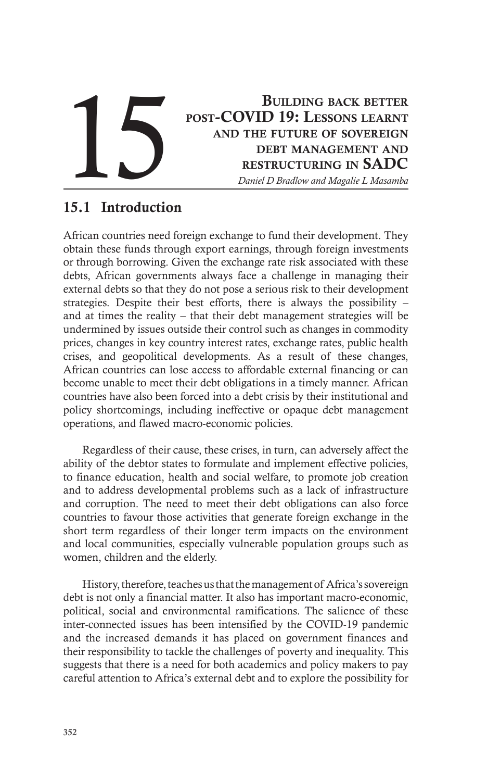# Building back better post-COVID 19: Lessons learnt and the future of sovereign debt management and **RUILDING BACK BETTER<br>POST-COVID 19: LESSONS LEARNT<br>AND THE FUTURE OF SOVEREIGN<br>DEBT MANAGEMENT AND<br>RESTRUCTURING IN SADC**<br>Daniel D Bradlow and Magalie L Masamba

## 15.1 Introduction

African countries need foreign exchange to fund their development. They obtain these funds through export earnings, through foreign investments or through borrowing. Given the exchange rate risk associated with these debts, African governments always face a challenge in managing their external debts so that they do not pose a serious risk to their development strategies. Despite their best efforts, there is always the possibility – and at times the reality – that their debt management strategies will be undermined by issues outside their control such as changes in commodity prices, changes in key country interest rates, exchange rates, public health crises, and geopolitical developments. As a result of these changes, African countries can lose access to affordable external financing or can become unable to meet their debt obligations in a timely manner. African countries have also been forced into a debt crisis by their institutional and policy shortcomings, including ineffective or opaque debt management operations, and flawed macro-economic policies.

Regardless of their cause, these crises, in turn, can adversely affect the ability of the debtor states to formulate and implement effective policies, to finance education, health and social welfare, to promote job creation and to address developmental problems such as a lack of infrastructure and corruption. The need to meet their debt obligations can also force countries to favour those activities that generate foreign exchange in the short term regardless of their longer term impacts on the environment and local communities, especially vulnerable population groups such as women, children and the elderly.

History, therefore, teaches us that the management of Africa's sovereign debt is not only a financial matter. It also has important macro-economic, political, social and environmental ramifications. The salience of these inter-connected issues has been intensified by the COVID-19 pandemic and the increased demands it has placed on government finances and their responsibility to tackle the challenges of poverty and inequality. This suggests that there is a need for both academics and policy makers to pay careful attention to Africa's external debt and to explore the possibility for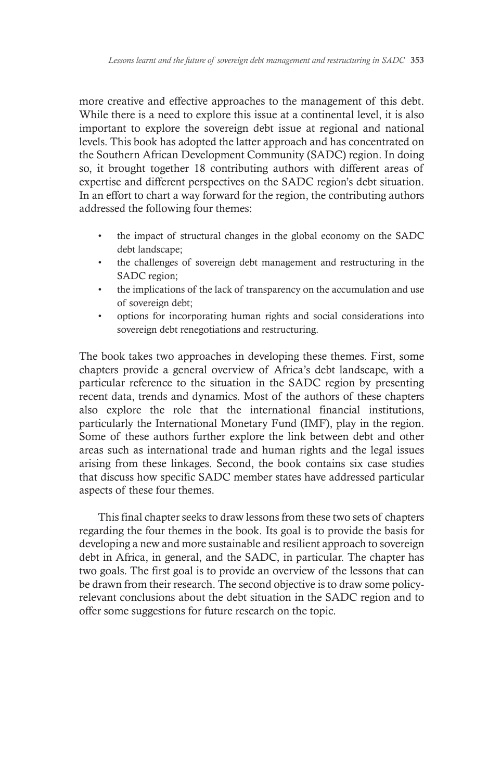more creative and effective approaches to the management of this debt. While there is a need to explore this issue at a continental level, it is also important to explore the sovereign debt issue at regional and national levels. This book has adopted the latter approach and has concentrated on the Southern African Development Community (SADC) region. In doing so, it brought together 18 contributing authors with different areas of expertise and different perspectives on the SADC region's debt situation. In an effort to chart a way forward for the region, the contributing authors addressed the following four themes:

- the impact of structural changes in the global economy on the SADC debt landscape;
- the challenges of sovereign debt management and restructuring in the SADC region;
- the implications of the lack of transparency on the accumulation and use of sovereign debt;
- options for incorporating human rights and social considerations into sovereign debt renegotiations and restructuring.

The book takes two approaches in developing these themes. First, some chapters provide a general overview of Africa's debt landscape, with a particular reference to the situation in the SADC region by presenting recent data, trends and dynamics. Most of the authors of these chapters also explore the role that the international financial institutions, particularly the International Monetary Fund (IMF), play in the region. Some of these authors further explore the link between debt and other areas such as international trade and human rights and the legal issues arising from these linkages. Second, the book contains six case studies that discuss how specific SADC member states have addressed particular aspects of these four themes.

This final chapter seeks to draw lessons from these two sets of chapters regarding the four themes in the book. Its goal is to provide the basis for developing a new and more sustainable and resilient approach to sovereign debt in Africa, in general, and the SADC, in particular. The chapter has two goals. The first goal is to provide an overview of the lessons that can be drawn from their research. The second objective is to draw some policyrelevant conclusions about the debt situation in the SADC region and to offer some suggestions for future research on the topic.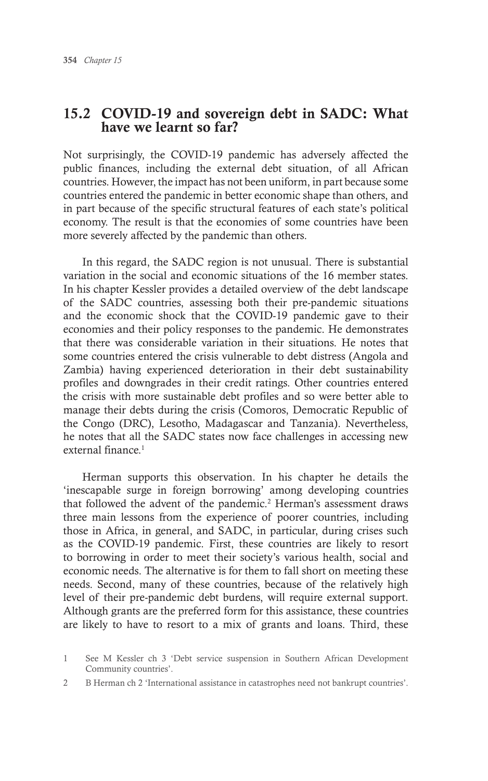#### 15.2 COVID-19 and sovereign debt in SADC: What have we learnt so far?

Not surprisingly, the COVID-19 pandemic has adversely affected the public finances, including the external debt situation, of all African countries. However, the impact has not been uniform, in part because some countries entered the pandemic in better economic shape than others, and in part because of the specific structural features of each state's political economy. The result is that the economies of some countries have been more severely affected by the pandemic than others.

In this regard, the SADC region is not unusual. There is substantial variation in the social and economic situations of the 16 member states. In his chapter Kessler provides a detailed overview of the debt landscape of the SADC countries, assessing both their pre-pandemic situations and the economic shock that the COVID-19 pandemic gave to their economies and their policy responses to the pandemic. He demonstrates that there was considerable variation in their situations. He notes that some countries entered the crisis vulnerable to debt distress (Angola and Zambia) having experienced deterioration in their debt sustainability profiles and downgrades in their credit ratings. Other countries entered the crisis with more sustainable debt profiles and so were better able to manage their debts during the crisis (Comoros, Democratic Republic of the Congo (DRC), Lesotho, Madagascar and Tanzania). Nevertheless, he notes that all the SADC states now face challenges in accessing new external finance.<sup>1</sup>

Herman supports this observation. In his chapter he details the 'inescapable surge in foreign borrowing' among developing countries that followed the advent of the pandemic.<sup>2</sup> Herman's assessment draws three main lessons from the experience of poorer countries, including those in Africa, in general, and SADC, in particular, during crises such as the COVID-19 pandemic. First, these countries are likely to resort to borrowing in order to meet their society's various health, social and economic needs. The alternative is for them to fall short on meeting these needs. Second, many of these countries, because of the relatively high level of their pre-pandemic debt burdens, will require external support. Although grants are the preferred form for this assistance, these countries are likely to have to resort to a mix of grants and loans. Third, these

<sup>1</sup> See M Kessler ch 3 'Debt service suspension in Southern African Development Community countries'.

<sup>2</sup> B Herman ch 2 'International assistance in catastrophes need not bankrupt countries'.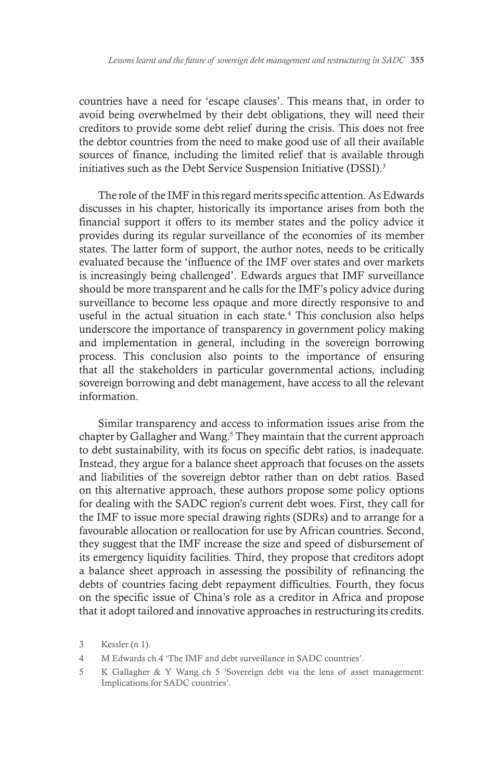countries have a need for 'escape clauses'. This means that, in order to avoid being overwhelmed by their debt obligations, they will need their creditors to provide some debt relief during the crisis. This does not free the debtor countries from the need to make good use of all their available sources of finance, including the limited relief that is available through initiatives such as the Debt Service Suspension Initiative (DSSI).<sup>3</sup>

The role of the IMF in this regard merits specific attention. As Edwards discusses in his chapter, historically its importance arises from both the financial support it offers to its member states and the policy advice it provides during its regular surveillance of the economies of its member states. The latter form of support, the author notes, needs to be critically evaluated because the 'influence of the IMF over states and over markets is increasingly being challenged'. Edwards argues that IMF surveillance should be more transparent and he calls for the IMF's policy advice during surveillance to become less opaque and more directly responsive to and useful in the actual situation in each state.<sup>4</sup> This conclusion also helps underscore the importance of transparency in government policy making and implementation in general, including in the sovereign borrowing process. This conclusion also points to the importance of ensuring that all the stakeholders in particular governmental actions, including sovereign borrowing and debt management, have access to all the relevant information.

Similar transparency and access to information issues arise from the chapter by Gallagher and Wang.<sup>5</sup> They maintain that the current approach to debt sustainability, with its focus on specific debt ratios, is inadequate. Instead, they argue for a balance sheet approach that focuses on the assets and liabilities of the sovereign debtor rather than on debt ratios. Based on this alternative approach, these authors propose some policy options for dealing with the SADC region's current debt woes. First, they call for the IMF to issue more special drawing rights (SDRs) and to arrange for a favourable allocation or reallocation for use by African countries. Second, they suggest that the IMF increase the size and speed of disbursement of its emergency liquidity facilities. Third, they propose that creditors adopt a balance sheet approach in assessing the possibility of refinancing the debts of countries facing debt repayment difficulties. Fourth, they focus on the specific issue of China's role as a creditor in Africa and propose that it adopt tailored and innovative approaches in restructuring its credits.

4 M Edwards ch 4 'The IMF and debt surveillance in SADC countries'.

<sup>3</sup> Kessler (n 1).

<sup>5</sup> K Gallagher & Y Wang ch 5 'Sovereign debt via the lens of asset management: Implications for SADC countries'.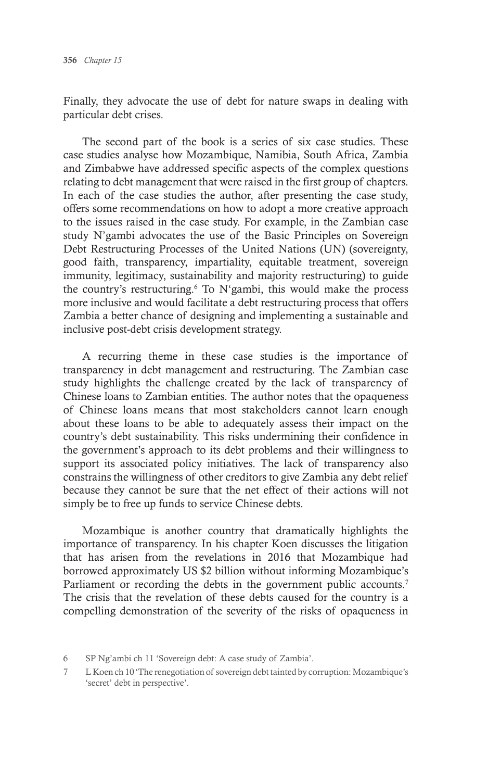Finally, they advocate the use of debt for nature swaps in dealing with particular debt crises.

The second part of the book is a series of six case studies. These case studies analyse how Mozambique, Namibia, South Africa, Zambia and Zimbabwe have addressed specific aspects of the complex questions relating to debt management that were raised in the first group of chapters. In each of the case studies the author, after presenting the case study, offers some recommendations on how to adopt a more creative approach to the issues raised in the case study. For example, in the Zambian case study N'gambi advocates the use of the Basic Principles on Sovereign Debt Restructuring Processes of the United Nations (UN) (sovereignty, good faith, transparency, impartiality, equitable treatment, sovereign immunity, legitimacy, sustainability and majority restructuring) to guide the country's restructuring.<sup>6</sup> To N'gambi, this would make the process more inclusive and would facilitate a debt restructuring process that offers Zambia a better chance of designing and implementing a sustainable and inclusive post-debt crisis development strategy.

A recurring theme in these case studies is the importance of transparency in debt management and restructuring. The Zambian case study highlights the challenge created by the lack of transparency of Chinese loans to Zambian entities. The author notes that the opaqueness of Chinese loans means that most stakeholders cannot learn enough about these loans to be able to adequately assess their impact on the country's debt sustainability. This risks undermining their confidence in the government's approach to its debt problems and their willingness to support its associated policy initiatives. The lack of transparency also constrains the willingness of other creditors to give Zambia any debt relief because they cannot be sure that the net effect of their actions will not simply be to free up funds to service Chinese debts.

Mozambique is another country that dramatically highlights the importance of transparency. In his chapter Koen discusses the litigation that has arisen from the revelations in 2016 that Mozambique had borrowed approximately US \$2 billion without informing Mozambique's Parliament or recording the debts in the government public accounts.<sup>7</sup> The crisis that the revelation of these debts caused for the country is a compelling demonstration of the severity of the risks of opaqueness in

<sup>6</sup> SP Ng'ambi ch 11 'Sovereign debt: A case study of Zambia'.

<sup>7</sup> L Koen ch 10 'The renegotiation of sovereign debt tainted by corruption: Mozambique's 'secret' debt in perspective'.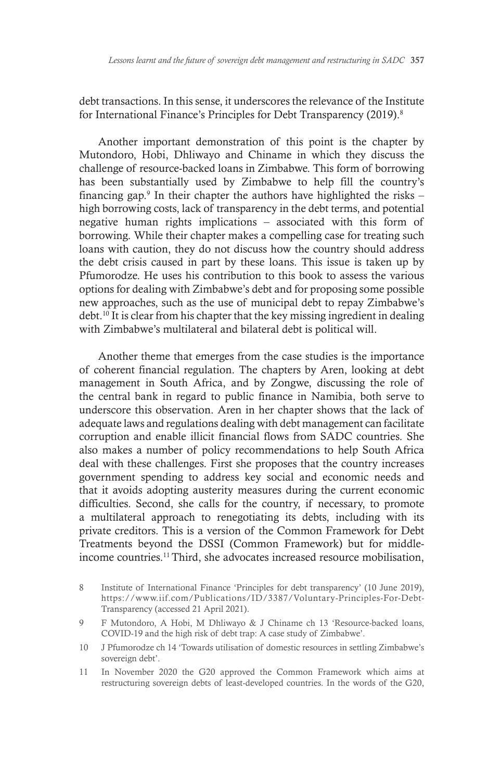debt transactions. In this sense, it underscores the relevance of the Institute for International Finance's Principles for Debt Transparency (2019).<sup>8</sup>

Another important demonstration of this point is the chapter by Mutondoro, Hobi, Dhliwayo and Chiname in which they discuss the challenge of resource-backed loans in Zimbabwe. This form of borrowing has been substantially used by Zimbabwe to help fill the country's financing gap. $9$  In their chapter the authors have highlighted the risks  $$ high borrowing costs, lack of transparency in the debt terms, and potential negative human rights implications – associated with this form of borrowing. While their chapter makes a compelling case for treating such loans with caution, they do not discuss how the country should address the debt crisis caused in part by these loans. This issue is taken up by Pfumorodze. He uses his contribution to this book to assess the various options for dealing with Zimbabwe's debt and for proposing some possible new approaches, such as the use of municipal debt to repay Zimbabwe's debt.10 It is clear from his chapter that the key missing ingredient in dealing with Zimbabwe's multilateral and bilateral debt is political will.

Another theme that emerges from the case studies is the importance of coherent financial regulation. The chapters by Aren, looking at debt management in South Africa, and by Zongwe, discussing the role of the central bank in regard to public finance in Namibia, both serve to underscore this observation. Aren in her chapter shows that the lack of adequate laws and regulations dealing with debt management can facilitate corruption and enable illicit financial flows from SADC countries. She also makes a number of policy recommendations to help South Africa deal with these challenges. First she proposes that the country increases government spending to address key social and economic needs and that it avoids adopting austerity measures during the current economic difficulties. Second, she calls for the country, if necessary, to promote a multilateral approach to renegotiating its debts, including with its private creditors. This is a version of the Common Framework for Debt Treatments beyond the DSSI (Common Framework) but for middleincome countries.11 Third, she advocates increased resource mobilisation,

- 10 J Pfumorodze ch 14 'Towards utilisation of domestic resources in settling Zimbabwe's sovereign debt'.
- 11 In November 2020 the G20 approved the Common Framework which aims at restructuring sovereign debts of least-developed countries. In the words of the G20,

<sup>8</sup> Institute of International Finance 'Principles for debt transparency' (10 June 2019), https://www.iif.com/Publications/ID/3387/Voluntary-Principles-For-Debt-Transparency (accessed 21 April 2021).

<sup>9</sup> F Mutondoro, A Hobi, M Dhliwayo & J Chiname ch 13 'Resource-backed loans, COVID-19 and the high risk of debt trap: A case study of Zimbabwe'.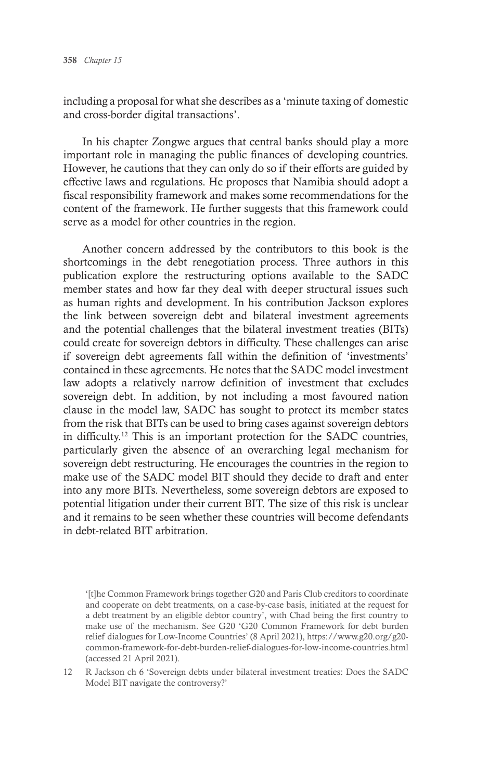including a proposal for what she describes as a 'minute taxing of domestic and cross-border digital transactions'.

In his chapter Zongwe argues that central banks should play a more important role in managing the public finances of developing countries. However, he cautions that they can only do so if their efforts are guided by effective laws and regulations. He proposes that Namibia should adopt a fiscal responsibility framework and makes some recommendations for the content of the framework. He further suggests that this framework could serve as a model for other countries in the region.

Another concern addressed by the contributors to this book is the shortcomings in the debt renegotiation process. Three authors in this publication explore the restructuring options available to the SADC member states and how far they deal with deeper structural issues such as human rights and development. In his contribution Jackson explores the link between sovereign debt and bilateral investment agreements and the potential challenges that the bilateral investment treaties (BITs) could create for sovereign debtors in difficulty. These challenges can arise if sovereign debt agreements fall within the definition of 'investments' contained in these agreements. He notes that the SADC model investment law adopts a relatively narrow definition of investment that excludes sovereign debt. In addition, by not including a most favoured nation clause in the model law, SADC has sought to protect its member states from the risk that BITs can be used to bring cases against sovereign debtors in difficulty.12 This is an important protection for the SADC countries, particularly given the absence of an overarching legal mechanism for sovereign debt restructuring. He encourages the countries in the region to make use of the SADC model BIT should they decide to draft and enter into any more BITs. Nevertheless, some sovereign debtors are exposed to potential litigation under their current BIT. The size of this risk is unclear and it remains to be seen whether these countries will become defendants in debt-related BIT arbitration.

<sup>&#</sup>x27;[t]he Common Framework brings together G20 and Paris Club creditors to coordinate and cooperate on debt treatments, on a case-by-case basis, initiated at the request for a debt treatment by an eligible debtor country', with Chad being the first country to make use of the mechanism. See G20 'G20 Common Framework for debt burden relief dialogues for Low-Income Countries' (8 April 2021), https://www.g20.org/g20 common-framework-for-debt-burden-relief-dialogues-for-low-income-countries.html (accessed 21 April 2021).

<sup>12</sup> R Jackson ch 6 'Sovereign debts under bilateral investment treaties: Does the SADC Model BIT navigate the controversy?'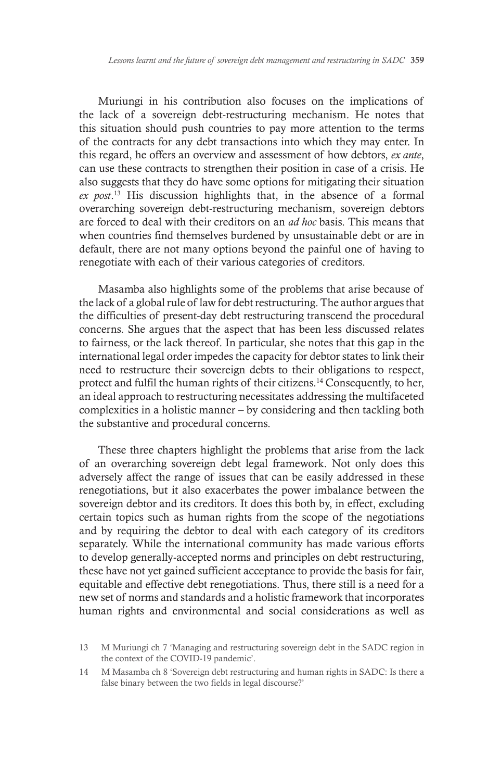Muriungi in his contribution also focuses on the implications of the lack of a sovereign debt-restructuring mechanism. He notes that this situation should push countries to pay more attention to the terms of the contracts for any debt transactions into which they may enter. In this regard, he offers an overview and assessment of how debtors, *ex ante*, can use these contracts to strengthen their position in case of a crisis. He also suggests that they do have some options for mitigating their situation *ex post*. 13 His discussion highlights that, in the absence of a formal overarching sovereign debt-restructuring mechanism, sovereign debtors are forced to deal with their creditors on an *ad hoc* basis. This means that when countries find themselves burdened by unsustainable debt or are in default, there are not many options beyond the painful one of having to renegotiate with each of their various categories of creditors.

Masamba also highlights some of the problems that arise because of the lack of a global rule of law for debt restructuring. The author argues that the difficulties of present-day debt restructuring transcend the procedural concerns. She argues that the aspect that has been less discussed relates to fairness, or the lack thereof. In particular, she notes that this gap in the international legal order impedes the capacity for debtor states to link their need to restructure their sovereign debts to their obligations to respect, protect and fulfil the human rights of their citizens.14 Consequently, to her, an ideal approach to restructuring necessitates addressing the multifaceted complexities in a holistic manner – by considering and then tackling both the substantive and procedural concerns.

These three chapters highlight the problems that arise from the lack of an overarching sovereign debt legal framework. Not only does this adversely affect the range of issues that can be easily addressed in these renegotiations, but it also exacerbates the power imbalance between the sovereign debtor and its creditors. It does this both by, in effect, excluding certain topics such as human rights from the scope of the negotiations and by requiring the debtor to deal with each category of its creditors separately. While the international community has made various efforts to develop generally-accepted norms and principles on debt restructuring, these have not yet gained sufficient acceptance to provide the basis for fair, equitable and effective debt renegotiations. Thus, there still is a need for a new set of norms and standards and a holistic framework that incorporates human rights and environmental and social considerations as well as

14 M Masamba ch 8 'Sovereign debt restructuring and human rights in SADC: Is there a false binary between the two fields in legal discourse?'

<sup>13</sup> M Muriungi ch 7 'Managing and restructuring sovereign debt in the SADC region in the context of the COVID-19 pandemic'.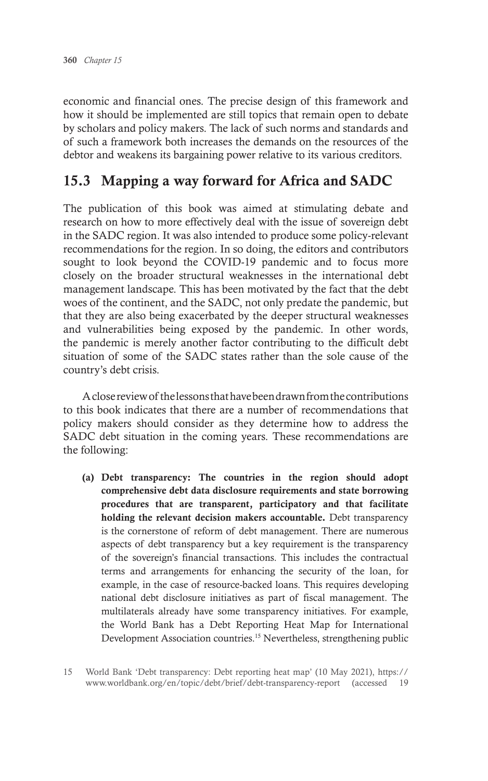economic and financial ones. The precise design of this framework and how it should be implemented are still topics that remain open to debate by scholars and policy makers. The lack of such norms and standards and of such a framework both increases the demands on the resources of the debtor and weakens its bargaining power relative to its various creditors.

### 15.3 Mapping a way forward for Africa and SADC

The publication of this book was aimed at stimulating debate and research on how to more effectively deal with the issue of sovereign debt in the SADC region. It was also intended to produce some policy-relevant recommendations for the region. In so doing, the editors and contributors sought to look beyond the COVID-19 pandemic and to focus more closely on the broader structural weaknesses in the international debt management landscape. This has been motivated by the fact that the debt woes of the continent, and the SADC, not only predate the pandemic, but that they are also being exacerbated by the deeper structural weaknesses and vulnerabilities being exposed by the pandemic. In other words, the pandemic is merely another factor contributing to the difficult debt situation of some of the SADC states rather than the sole cause of the country's debt crisis.

A close review of the lessons that have been drawn from the contributions to this book indicates that there are a number of recommendations that policy makers should consider as they determine how to address the SADC debt situation in the coming years. These recommendations are the following:

(a) Debt transparency: The countries in the region should adopt comprehensive debt data disclosure requirements and state borrowing procedures that are transparent, participatory and that facilitate holding the relevant decision makers accountable. Debt transparency is the cornerstone of reform of debt management. There are numerous aspects of debt transparency but a key requirement is the transparency of the sovereign's financial transactions. This includes the contractual terms and arrangements for enhancing the security of the loan, for example, in the case of resource-backed loans. This requires developing national debt disclosure initiatives as part of fiscal management. The multilaterals already have some transparency initiatives. For example, the World Bank has a Debt Reporting Heat Map for International Development Association countries.15 Nevertheless, strengthening public

<sup>15</sup> World Bank 'Debt transparency: Debt reporting heat map' (10 May 2021), https:// www.worldbank.org/en/topic/debt/brief/debt-transparency-report (accessed 19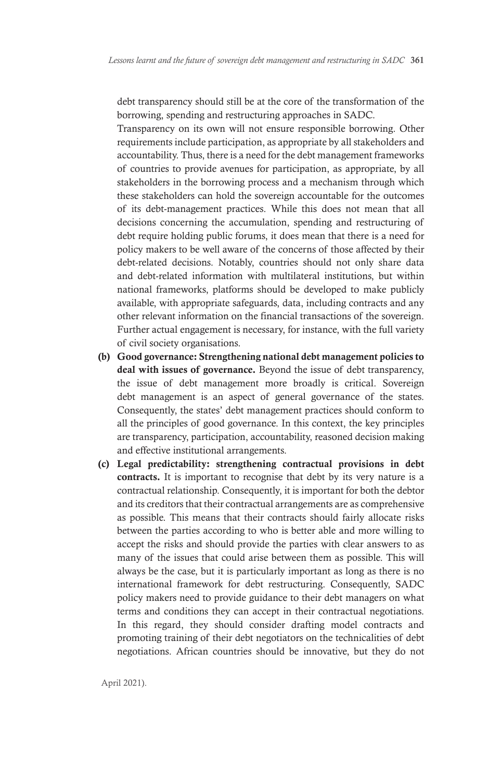debt transparency should still be at the core of the transformation of the borrowing, spending and restructuring approaches in SADC.

Transparency on its own will not ensure responsible borrowing. Other requirements include participation, as appropriate by all stakeholders and accountability. Thus, there is a need for the debt management frameworks of countries to provide avenues for participation, as appropriate, by all stakeholders in the borrowing process and a mechanism through which these stakeholders can hold the sovereign accountable for the outcomes of its debt-management practices. While this does not mean that all decisions concerning the accumulation, spending and restructuring of debt require holding public forums, it does mean that there is a need for policy makers to be well aware of the concerns of those affected by their debt-related decisions. Notably, countries should not only share data and debt-related information with multilateral institutions, but within national frameworks, platforms should be developed to make publicly available, with appropriate safeguards, data, including contracts and any other relevant information on the financial transactions of the sovereign. Further actual engagement is necessary, for instance, with the full variety of civil society organisations.

- (b) Good governance: Strengthening national debt management policies to deal with issues of governance. Beyond the issue of debt transparency, the issue of debt management more broadly is critical. Sovereign debt management is an aspect of general governance of the states. Consequently, the states' debt management practices should conform to all the principles of good governance. In this context, the key principles are transparency, participation, accountability, reasoned decision making and effective institutional arrangements.
- (c) Legal predictability: strengthening contractual provisions in debt contracts. It is important to recognise that debt by its very nature is a contractual relationship. Consequently, it is important for both the debtor and its creditors that their contractual arrangements are as comprehensive as possible. This means that their contracts should fairly allocate risks between the parties according to who is better able and more willing to accept the risks and should provide the parties with clear answers to as many of the issues that could arise between them as possible. This will always be the case, but it is particularly important as long as there is no international framework for debt restructuring. Consequently, SADC policy makers need to provide guidance to their debt managers on what terms and conditions they can accept in their contractual negotiations. In this regard, they should consider drafting model contracts and promoting training of their debt negotiators on the technicalities of debt negotiations. African countries should be innovative, but they do not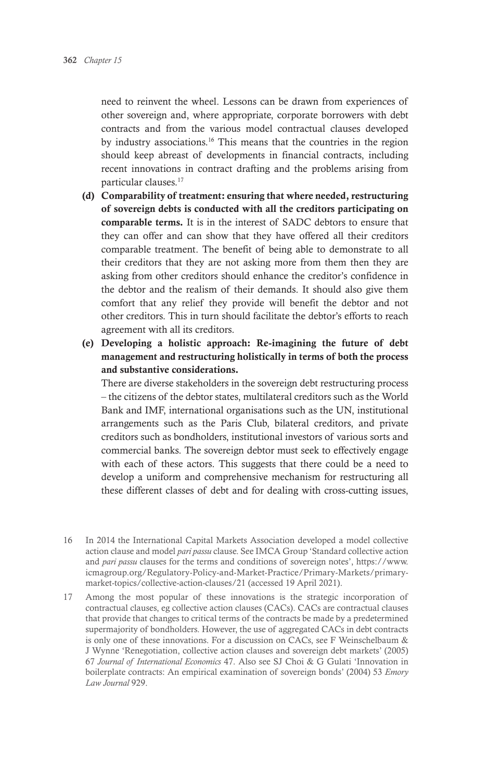need to reinvent the wheel. Lessons can be drawn from experiences of other sovereign and, where appropriate, corporate borrowers with debt contracts and from the various model contractual clauses developed by industry associations.16 This means that the countries in the region should keep abreast of developments in financial contracts, including recent innovations in contract drafting and the problems arising from particular clauses.17

- (d) Comparability of treatment: ensuring that where needed, restructuring of sovereign debts is conducted with all the creditors participating on comparable terms. It is in the interest of SADC debtors to ensure that they can offer and can show that they have offered all their creditors comparable treatment. The benefit of being able to demonstrate to all their creditors that they are not asking more from them then they are asking from other creditors should enhance the creditor's confidence in the debtor and the realism of their demands. It should also give them comfort that any relief they provide will benefit the debtor and not other creditors. This in turn should facilitate the debtor's efforts to reach agreement with all its creditors.
- (e) Developing a holistic approach: Re-imagining the future of debt management and restructuring holistically in terms of both the process and substantive considerations.

There are diverse stakeholders in the sovereign debt restructuring process – the citizens of the debtor states, multilateral creditors such as the World Bank and IMF, international organisations such as the UN, institutional arrangements such as the Paris Club, bilateral creditors, and private creditors such as bondholders, institutional investors of various sorts and commercial banks. The sovereign debtor must seek to effectively engage with each of these actors. This suggests that there could be a need to develop a uniform and comprehensive mechanism for restructuring all these different classes of debt and for dealing with cross-cutting issues,

- 16 In 2014 the International Capital Markets Association developed a model collective action clause and model *pari passu* clause. See IMCA Group 'Standard collective action and *pari passu* clauses for the terms and conditions of sovereign notes', https://www. icmagroup.org/Regulatory-Policy-and-Market-Practice/Primary-Markets/primarymarket-topics/collective-action-clauses/21 (accessed 19 April 2021).
- 17 Among the most popular of these innovations is the strategic incorporation of contractual clauses, eg collective action clauses (CACs). CACs are contractual clauses that provide that changes to critical terms of the contracts be made by a predetermined supermajority of bondholders. However, the use of aggregated CACs in debt contracts is only one of these innovations. For a discussion on CACs, see F Weinschelbaum & J Wynne 'Renegotiation, collective action clauses and sovereign debt markets' (2005) 67 *Journal of International Economics* 47. Also see SJ Choi & G Gulati 'Innovation in boilerplate contracts: An empirical examination of sovereign bonds' (2004) 53 *Emory Law Journal* 929.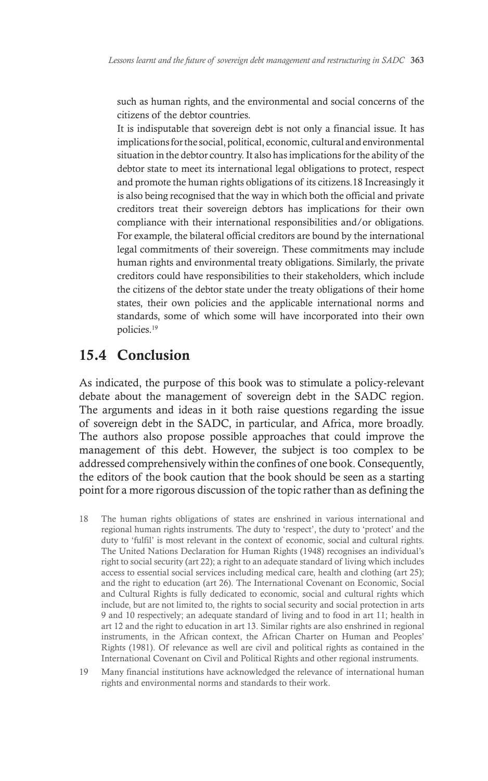such as human rights, and the environmental and social concerns of the citizens of the debtor countries.

It is indisputable that sovereign debt is not only a financial issue. It has implications for the social, political, economic, cultural and environmental situation in the debtor country. It also has implications for the ability of the debtor state to meet its international legal obligations to protect, respect and promote the human rights obligations of its citizens.18 Increasingly it is also being recognised that the way in which both the official and private creditors treat their sovereign debtors has implications for their own compliance with their international responsibilities and/or obligations. For example, the bilateral official creditors are bound by the international legal commitments of their sovereign. These commitments may include human rights and environmental treaty obligations. Similarly, the private creditors could have responsibilities to their stakeholders, which include the citizens of the debtor state under the treaty obligations of their home states, their own policies and the applicable international norms and standards, some of which some will have incorporated into their own policies.19

#### 15.4 Conclusion

As indicated, the purpose of this book was to stimulate a policy-relevant debate about the management of sovereign debt in the SADC region. The arguments and ideas in it both raise questions regarding the issue of sovereign debt in the SADC, in particular, and Africa, more broadly. The authors also propose possible approaches that could improve the management of this debt. However, the subject is too complex to be addressed comprehensively within the confines of one book. Consequently, the editors of the book caution that the book should be seen as a starting point for a more rigorous discussion of the topic rather than as defining the

- 18 The human rights obligations of states are enshrined in various international and regional human rights instruments. The duty to 'respect', the duty to 'protect' and the duty to 'fulfil' is most relevant in the context of economic, social and cultural rights. The United Nations Declaration for Human Rights (1948) recognises an individual's right to social security (art 22); a right to an adequate standard of living which includes access to essential social services including medical care, health and clothing (art 25); and the right to education (art 26). The International Covenant on Economic, Social and Cultural Rights is fully dedicated to economic, social and cultural rights which include, but are not limited to, the rights to social security and social protection in arts 9 and 10 respectively; an adequate standard of living and to food in art 11; health in art 12 and the right to education in art 13. Similar rights are also enshrined in regional instruments, in the African context, the African Charter on Human and Peoples' Rights (1981). Of relevance as well are civil and political rights as contained in the International Covenant on Civil and Political Rights and other regional instruments.
- 19 Many financial institutions have acknowledged the relevance of international human rights and environmental norms and standards to their work.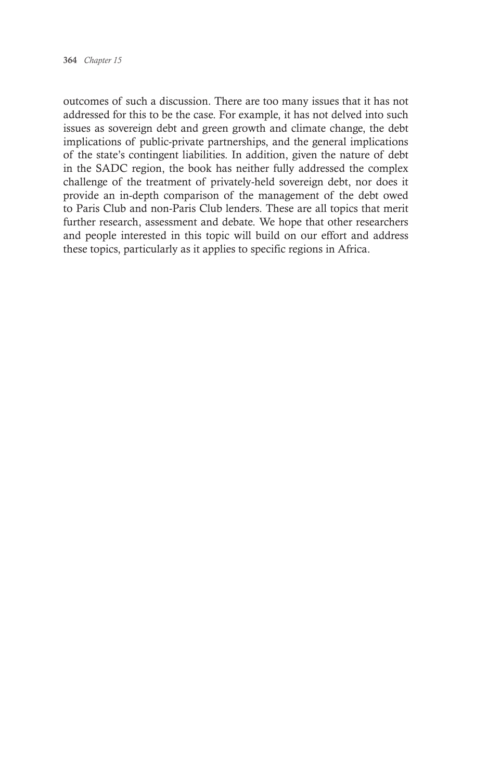outcomes of such a discussion. There are too many issues that it has not addressed for this to be the case. For example, it has not delved into such issues as sovereign debt and green growth and climate change, the debt implications of public-private partnerships, and the general implications of the state's contingent liabilities. In addition, given the nature of debt in the SADC region, the book has neither fully addressed the complex challenge of the treatment of privately-held sovereign debt, nor does it provide an in-depth comparison of the management of the debt owed to Paris Club and non-Paris Club lenders. These are all topics that merit further research, assessment and debate. We hope that other researchers and people interested in this topic will build on our effort and address these topics, particularly as it applies to specific regions in Africa.